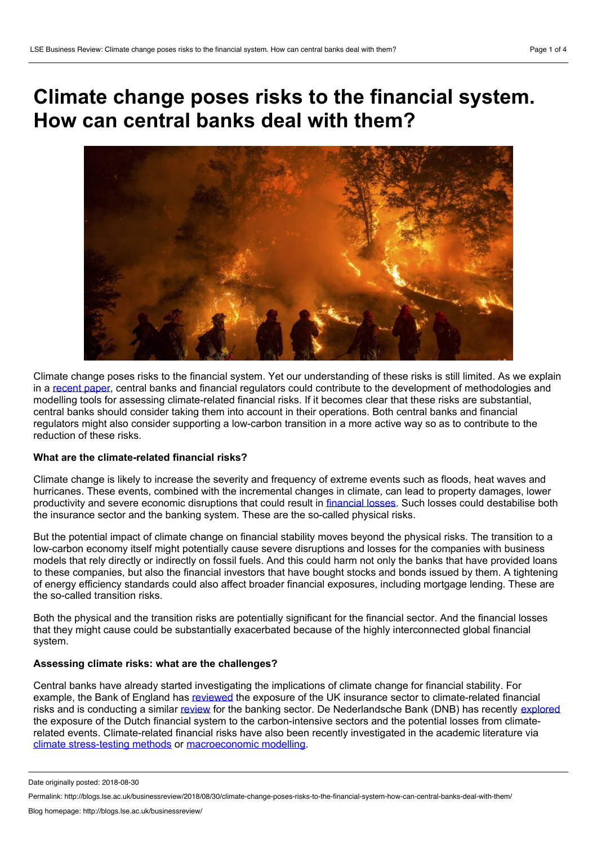# **Climate change poses risks to the financial system. How can central banks deal with them?**



Climate change poses risks to the financial system. Yet our understanding of these risks is still limited. As we explain in a [recent](https://www.nature.com/articles/s41558-018-0175-0) paper, central banks and financial regulators could contribute to the development of methodologies and modelling tools for assessing climate-related financial risks. If it becomes clear that these risks are substantial, central banks should consider taking them into account in their operations. Both central banks and financial regulators might also consider supporting a low-carbon transition in a more active way so as to contribute to the reduction of these risks.

## **What are the climate-related financial risks?**

Climate change is likely to increase the severity and frequency of extreme events such as floods, heat waves and hurricanes. These events, combined with the incremental changes in climate, can lead to property damages, lower productivity and severe economic disruptions that could result in [financial](https://www.bankofengland.co.uk/speech/2015/breaking-the-tragedy-of-the-horizon-climate-change-and-financial-stability) losses. Such losses could destabilise both the insurance sector and the banking system. These are the so-called physical risks.

But the potential impact of climate change on financial stability moves beyond the physical risks. The transition to a low-carbon economy itself might potentially cause severe disruptions and losses for the companies with business models that rely directly or indirectly on fossil fuels. And this could harm not only the banks that have provided loans to these companies, but also the financial investors that have bought stocks and bonds issued by them. A tightening of energy efficiency standards could also affect broader financial exposures, including mortgage lending. These are the so-called transition risks.

Both the physical and the transition risks are potentially significant for the financial sector. And the financial losses that they might cause could be substantially exacerbated because of the highly interconnected global financial system.

#### **Assessing climate risks: what are the challenges?**

Central banks have already started investigating the implications of climate change for financial stability. For example, the Bank of England has [reviewed](https://www.bankofengland.co.uk/prudential-regulation/publication/2015/the-impact-of-climate-change-on-the-uk-insurance-sector) the exposure of the UK insurance sector to climate-related financial risks and is conducting a similar [review](https://www.bankofengland.co.uk/quarterly-bulletin/2017/q2/the-banks-response-to-climate-change) for the banking sector. De Nederlandsche Bank (DNB) has recently [explored](https://www.dnb.nl/en/binaries/Waterproof_tcm47-363851.pdf?2017110615) the exposure of the Dutch financial system to the carbon-intensive sectors and the potential losses from climaterelated events. Climate-related financial risks have also been recently investigated in the academic literature via climate [stress-testing](https://www.nature.com/articles/nclimate3255) methods or [macroeconomic](https://www.sciencedirect.com/science/article/pii/S0921800917315161) modelling.

Date originally posted: 2018-08-30

Permalink: http://blogs.lse.ac.uk/businessreview/2018/08/30/climate-change-poses-risks-to-the-financial-system-how-can-central-banks-deal-with-them/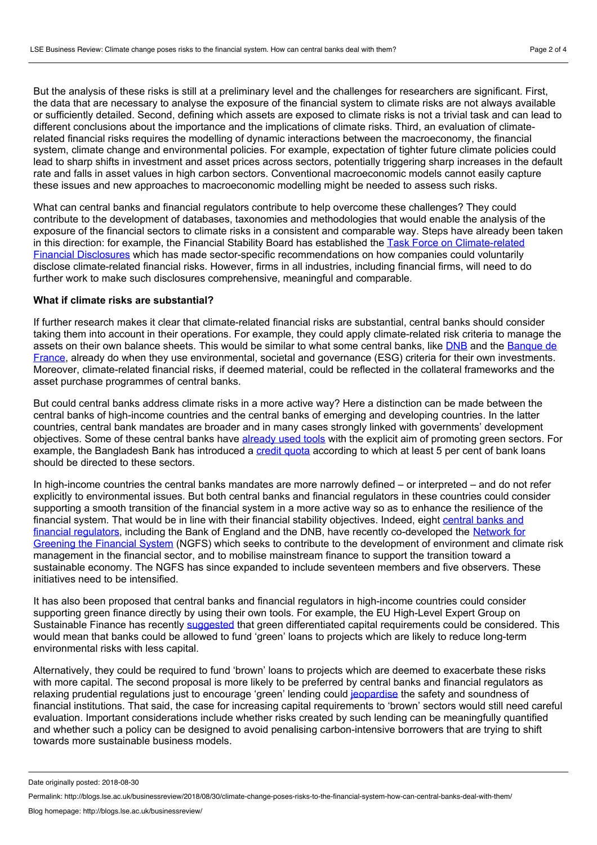But the analysis of these risks is still at a preliminary level and the challenges for researchers are significant. First, the data that are necessary to analyse the exposure of the financial system to climate risks are not always available or sufficiently detailed. Second, defining which assets are exposed to climate risks is not a trivial task and can lead to different conclusions about the importance and the implications of climate risks. Third, an evaluation of climaterelated financial risks requires the modelling of dynamic interactions between the macroeconomy, the financial system, climate change and environmental policies. For example, expectation of tighter future climate policies could lead to sharp shifts in investment and asset prices across sectors, potentially triggering sharp increases in the default rate and falls in asset values in high carbon sectors. Conventional macroeconomic models cannot easily capture these issues and new approaches to macroeconomic modelling might be needed to assess such risks.

What can central banks and financial regulators contribute to help overcome these challenges? They could contribute to the development of databases, taxonomies and methodologies that would enable the analysis of the exposure of the financial sectors to climate risks in a consistent and comparable way. Steps have already been taken in this direction: for example, the Financial Stability Board has established the Task Force on Climate-related Financial Disclosures which has made sector-specific [recommendations](https://www.fsb-tcfd.org/) on how companies could voluntarily disclose climate-related financial risks. However, firms in all industries, including financial firms, will need to do further work to make such disclosures comprehensive, meaningful and comparable.

#### **What if climate risks are substantial?**

If further research makes it clear that climate-related financial risks are substantial, central banks should consider taking them into account in their operations. For example, they could apply climate-related risk criteria to manage the assets on their own balance sheets. This would be similar to what some central banks, like [DNB](https://www.dnb.nl/en/binaries/Annual report DNB 2016_tcm47-356008.PDF) and the Banque de France, already do when they use [environmental,](https://www.banque-france.fr/en/banque-de-france/corporate-social-responsibility/economic-and-civic-commitment/contributing-responsible-investment) societal and governance (ESG) criteria for their own investments. Moreover, climate-related financial risks, if deemed material, could be reflected in the collateral frameworks and the asset purchase programmes of central banks.

But could central banks address climate risks in a more active way? Here a distinction can be made between the central banks of high-income countries and the central banks of emerging and developing countries. In the latter countries, central bank mandates are broader and in many cases strongly linked with governments' development objectives. Some of these central banks have [already](https://neweconomics.org/uploads/files/Green-Central-Banking.pdf) used tools with the explicit aim of promoting green sectors. For example, the Bangladesh Bank has introduced a credit [quota](http://unepinquiry.org/wp-content/uploads/2015/04/Monetary_Policy_and_Sustainability_The_Case_of_Bangladesh.pdf) according to which at least 5 per cent of bank loans should be directed to these sectors.

In high-income countries the central banks mandates are more narrowly defined – or interpreted – and do not refer explicitly to environmental issues. But both central banks and financial regulators in these countries could consider supporting a smooth transition of the financial system in a more active way so as to enhance the resilience of the financial system. That would be in line with their financial stability objectives. Indeed, eight central banks and financial regulators, including the Bank of England and the DNB, have recently [co-developed](https://www.google.com/url?sa=t&rct=j&q=&esrc=s&source=web&cd=2&ved=2ahUKEwi40fqPse_cAhWDJMAKHbIbA6oQFjABegQICRAC&url=https%3A%2F%2Fwww.bankofengland.co.uk%2F-%2Fmedia%2Fboe%2Ffiles%2Fresearch%2Fgreening-the-financial-system-qa&usg=AOvVaw2RXhx5QGTFVfdIwN415lbk) the Network for Greening the Financial System (NGFS) which seeks to contribute to the development of environment and climate risk management in the financial sector, and to mobilise mainstream finance to support the transition toward a sustainable economy. The NGFS has since expanded to include seventeen members and five observers. These initiatives need to be intensified.

It has also been proposed that central banks and financial regulators in high-income countries could consider supporting green finance directly by using their own tools. For example, the EU High-Level Expert Group on Sustainable Finance has recently [suggested](https://ec.europa.eu/info/sites/info/files/180131-sustainable-finance-final-report_en.pdf) that green differentiated capital requirements could be considered. This would mean that banks could be allowed to fund 'green' loans to projects which are likely to reduce long-term environmental risks with less capital.

Alternatively, they could be required to fund 'brown' loans to projects which are deemed to exacerbate these risks with more capital. The second proposal is more likely to be preferred by central banks and financial regulators as relaxing prudential regulations just to encourage 'green' lending could [jeopardise](https://www.bankofengland.co.uk/-/media/boe/files/working-paper/2016/lets-talk-about-the-weather-the-impact-of-climate-change-on-central-banks.pdf?la=en&hash=C49212AE5F68EC6F9E5AA71AC404B72CDC4D7574) the safety and soundness of financial institutions. That said, the case for increasing capital requirements to 'brown' sectors would still need careful evaluation. Important considerations include whether risks created by such lending can be meaningfully quantified and whether such a policy can be designed to avoid penalising carbon-intensive borrowers that are trying to shift towards more sustainable business models.

Date originally posted: 2018-08-30

Permalink: http://blogs.lse.ac.uk/businessreview/2018/08/30/climate-change-poses-risks-to-the-financial-system-how-can-central-banks-deal-with-them/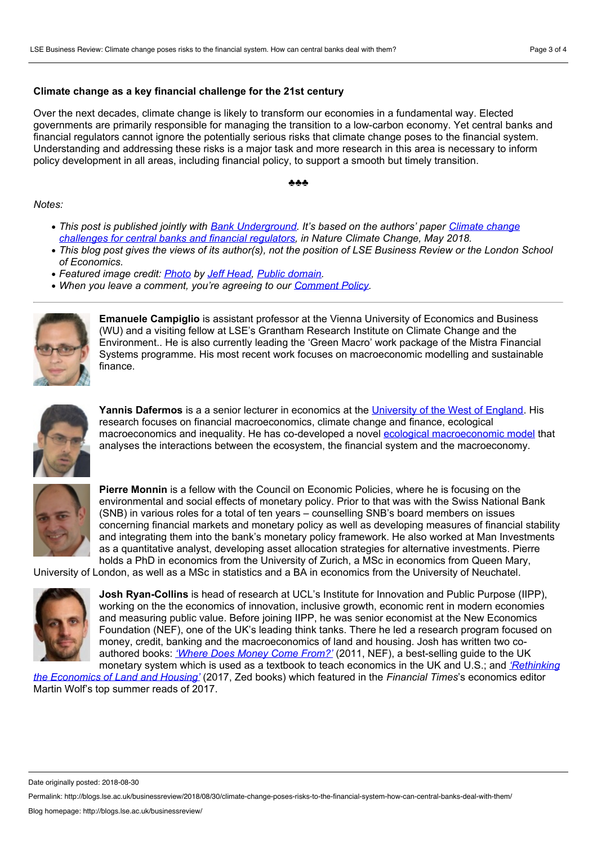### **Climate change as a key financial challenge for the 21st century**

Over the next decades, climate change is likely to transform our economies in a fundamental way. Elected governments are primarily responsible for managing the transition to a low-carbon economy. Yet central banks and financial regulators cannot ignore the potentially serious risks that climate change poses to the financial system. Understanding and addressing these risks is a major task and more research in this area is necessary to inform policy development in all areas, including financial policy, to support a smooth but timely transition.

#### ♣♣♣

#### *Notes:*

- *This post is published jointly with Bank [Underground.](https://www.nature.com/articles/s41558-018-0175-0) It's based on the authors' paper Climate change challenges for central banks and financial regulators, in Nature Climate Change, May 2018.*
- This blog post gives the views of its author(s), not the position of LSE Business Review or the London School *of Economics.*
- *Featured image credit: [Photo](https://www.flickr.com/photos/jeff_head/20799665403) by Jeff [Head](https://www.flickr.com/photos/jeff_head/), Public [domain](https://creativecommons.org/publicdomain/mark/1.0/).*
- *When you leave a comment, you're agreeing to our [Comment](http://blogs.lse.ac.uk/businessreview/comment-policy/) Policy.*



**Emanuele Campiglio** is assistant professor at the Vienna University of Economics and Business (WU) and a visiting fellow at LSE's Grantham Research Institute on Climate Change and the Environment.. He is also currently leading the 'Green Macro' work package of the Mistra Financial Systems programme. His most recent work focuses on macroeconomic modelling and sustainable finance.



**Yannis Dafermos** is a a senior lecturer in economics at the [University](http://people.uwe.ac.uk/Pages/person.aspx?accountname=campus\i-dafermos) of the West of England. His research focuses on financial macroeconomics, climate change and finance, ecological macroeconomics and inequality. He has co-developed a novel ecological [macroeconomic](http://www.define-model.org) model that analyses the interactions between the ecosystem, the financial system and the macroeconomy.



**Pierre Monnin** is a fellow with the Council on Economic Policies, where he is focusing on the environmental and social effects of monetary policy. Prior to that was with the Swiss National Bank (SNB) in various roles for a total of ten years – counselling SNB's board members on issues concerning financial markets and monetary policy as well as developing measures of financial stability and integrating them into the bank's monetary policy framework. He also worked at Man Investments as a quantitative analyst, developing asset allocation strategies for alternative investments. Pierre holds a PhD in economics from the University of Zurich, a MSc in economics from Queen Mary,

University of London, as well as a MSc in statistics and a BA in economics from the University of Neuchatel.



**Josh Ryan-Collins** is head of research at UCL's Institute for Innovation and Public Purpose (IIPP), working on the the economics of innovation, inclusive growth, economic rent in modern economies and measuring public value. Before joining IIPP, he was senior economist at the New Economics Foundation (NEF), one of the UK's leading think tanks. There he led a research program focused on money, credit, banking and the macroeconomics of land and housing. Josh has written two co authored books: *['Where](https://www.amazon.co.uk/Where-Does-Money-Come-Monetary/dp/1908506547) Does Money Come From?'* (2011, NEF), a best-selling guide to the UK monetary system which is used as a textbook to teach economics in the UK and U.S.; and *['Rethinking](https://www.zedbooks.net/shop/book/rethinking-the-economics-of-land-and-housing/forthcoming/)*

*the Economics of Land and Housing'* (2017, Zed books) which featured in the *Financial Times*'s economics editor Martin Wolf's top summer reads of 2017.

Date originally posted: 2018-08-30

Permalink: http://blogs.lse.ac.uk/businessreview/2018/08/30/climate-change-poses-risks-to-the-financial-system-how-can-central-banks-deal-with-them/